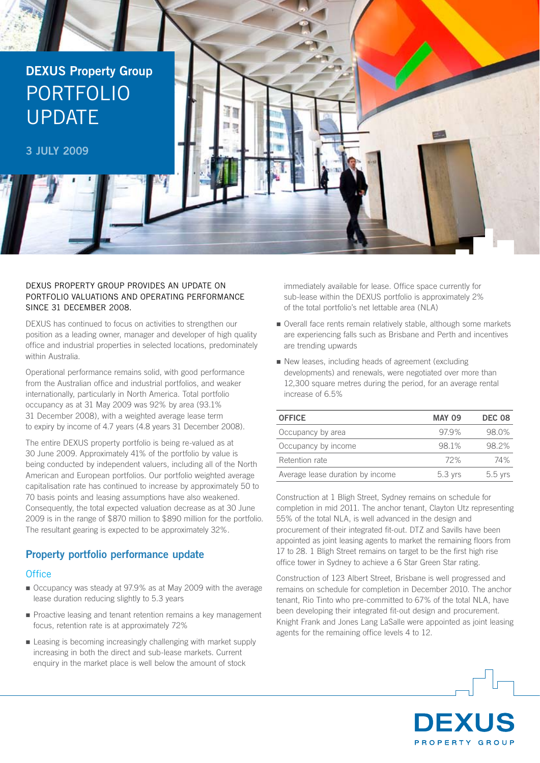

### DEXUS Property Group provides an update on portfolio valuations and operating performance since 31 December 2008.

DEXUS has continued to focus on activities to strengthen our position as a leading owner, manager and developer of high quality office and industrial properties in selected locations, predominately within Australia.

Operational performance remains solid, with good performance from the Australian office and industrial portfolios, and weaker internationally, particularly in North America. Total portfolio occupancy as at 31 May 2009 was 92% by area (93.1% 31 December 2008), with a weighted average lease term to expiry by income of 4.7 years (4.8 years 31 December 2008).

The entire DEXUS property portfolio is being re-valued as at 30 June 2009. Approximately 41% of the portfolio by value is being conducted by independent valuers, including all of the North American and European portfolios. Our portfolio weighted average capitalisation rate has continued to increase by approximately 50 to 70 basis points and leasing assumptions have also weakened. Consequently, the total expected valuation decrease as at 30 June 2009 is in the range of \$870 million to \$890 million for the portfolio. The resultant gearing is expected to be approximately 32%.

# **Property portfolio performance update**

## **Office**

- n Occupancy was steady at 97.9% as at May 2009 with the average lease duration reducing slightly to 5.3 years
- **•** Proactive leasing and tenant retention remains a key management focus, retention rate is at approximately 72%
- n Leasing is becoming increasingly challenging with market supply increasing in both the direct and sub-lease markets. Current enquiry in the market place is well below the amount of stock

immediately available for lease. Office space currently for sub-lease within the DEXUS portfolio is approximately 2% of the total portfolio's net lettable area (NLA)

- Overall face rents remain relatively stable, although some markets are experiencing falls such as Brisbane and Perth and incentives are trending upwards
- n New leases, including heads of agreement (excluding developments) and renewals, were negotiated over more than 12,300 square metres during the period, for an average rental increase of 6.5%

| <b>OFFICE</b>                    | <b>MAY 09</b> | <b>DEC 08</b> |
|----------------------------------|---------------|---------------|
| Occupancy by area                | 97.9%         | 98.0%         |
| Occupancy by income              | 98.1%         | 98.2%         |
| Retention rate                   | 72%           | 74%           |
| Average lease duration by income | 5.3 yrs       | $5.5$ yrs     |

Construction at 1 Bligh Street, Sydney remains on schedule for completion in mid 2011. The anchor tenant, Clayton Utz representing 55% of the total NLA, is well advanced in the design and procurement of their integrated fit-out. DTZ and Savills have been appointed as joint leasing agents to market the remaining floors from 17 to 28. 1 Bligh Street remains on target to be the first high rise office tower in Sydney to achieve a 6 Star Green Star rating.

Construction of 123 Albert Street, Brisbane is well progressed and remains on schedule for completion in December 2010. The anchor tenant, Rio Tinto who pre-committed to 67% of the total NLA, have been developing their integrated fit-out design and procurement. Knight Frank and Jones Lang LaSalle were appointed as joint leasing agents for the remaining office levels 4 to 12.

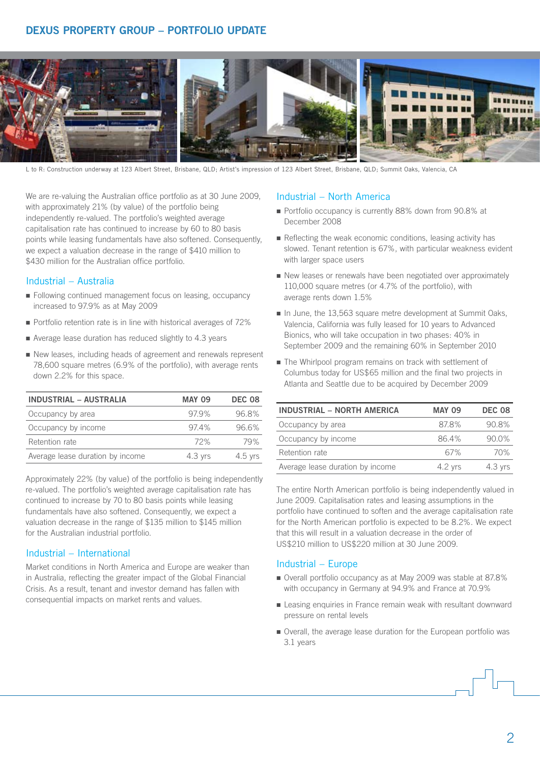# **DEXUS Property Group – Portfolio update**



L to R: Construction underway at 123 Albert Street, Brisbane, QLD; Artist's impression of 123 Albert Street, Brisbane, QLD; Summit Oaks, Valencia, CA

We are re-valuing the Australian office portfolio as at 30 June 2009. with approximately 21% (by value) of the portfolio being independently re-valued. The portfolio's weighted average capitalisation rate has continued to increase by 60 to 80 basis points while leasing fundamentals have also softened. Consequently, we expect a valuation decrease in the range of \$410 million to \$430 million for the Australian office portfolio.

#### Industrial – Australia

- n Following continued management focus on leasing, occupancy increased to 97.9% as at May 2009
- Portfolio retention rate is in line with historical averages of 72%
- $\blacksquare$  Average lease duration has reduced slightly to 4.3 years
- n New leases, including heads of agreement and renewals represent 78,600 square metres (6.9% of the portfolio), with average rents down 2.2% for this space.

| <b>INDUSTRIAL - AUSTRALIA</b>    | <b>MAY 09</b> | <b>DEC 08</b> |
|----------------------------------|---------------|---------------|
| Occupancy by area                | 97.9%         | 96.8%         |
| Occupancy by income              | 97.4%         | 96.6%         |
| Retention rate                   | 72%           | 79%           |
| Average lease duration by income | $4.3$ yrs     | $4.5$ yrs     |

Approximately 22% (by value) of the portfolio is being independently re-valued. The portfolio's weighted average capitalisation rate has continued to increase by 70 to 80 basis points while leasing fundamentals have also softened. Consequently, we expect a valuation decrease in the range of \$135 million to \$145 million for the Australian industrial portfolio.

### Industrial – International

Market conditions in North America and Europe are weaker than in Australia, reflecting the greater impact of the Global Financial Crisis. As a result, tenant and investor demand has fallen with consequential impacts on market rents and values.

### Industrial – North America

- Portfolio occupancy is currently 88% down from 90.8% at December 2008
- $\blacksquare$  Reflecting the weak economic conditions, leasing activity has slowed. Tenant retention is 67%, with particular weakness evident with larger space users
- $\blacksquare$  New leases or renewals have been negotiated over approximately 110,000 square metres (or 4.7% of the portfolio), with average rents down 1.5%
- n In June, the 13,563 square metre development at Summit Oaks, Valencia, California was fully leased for 10 years to Advanced Bionics, who will take occupation in two phases: 40% in September 2009 and the remaining 60% in September 2010
- $\blacksquare$  The Whirlpool program remains on track with settlement of Columbus today for US\$65 million and the final two projects in Atlanta and Seattle due to be acquired by December 2009

| <b>INDUSTRIAL - NORTH AMERICA</b> | <b>MAY 09</b> | <b>DEC 08</b> |
|-----------------------------------|---------------|---------------|
| Occupancy by area                 | 87.8%         | 90.8%         |
| Occupancy by income               | 86.4%         | 90.0%         |
| Retention rate                    | 67%           | 70%           |
| Average lease duration by income  | $4.2$ yrs     | $4.3$ yrs     |

The entire North American portfolio is being independently valued in June 2009. Capitalisation rates and leasing assumptions in the portfolio have continued to soften and the average capitalisation rate for the North American portfolio is expected to be 8.2%. We expect that this will result in a valuation decrease in the order of US\$210 million to US\$220 million at 30 June 2009.

#### Industrial – Europe

- Overall portfolio occupancy as at May 2009 was stable at 87.8% with occupancy in Germany at 94.9% and France at 70.9%
- Leasing enquiries in France remain weak with resultant downward pressure on rental levels
- n Overall, the average lease duration for the European portfolio was 3.1 years